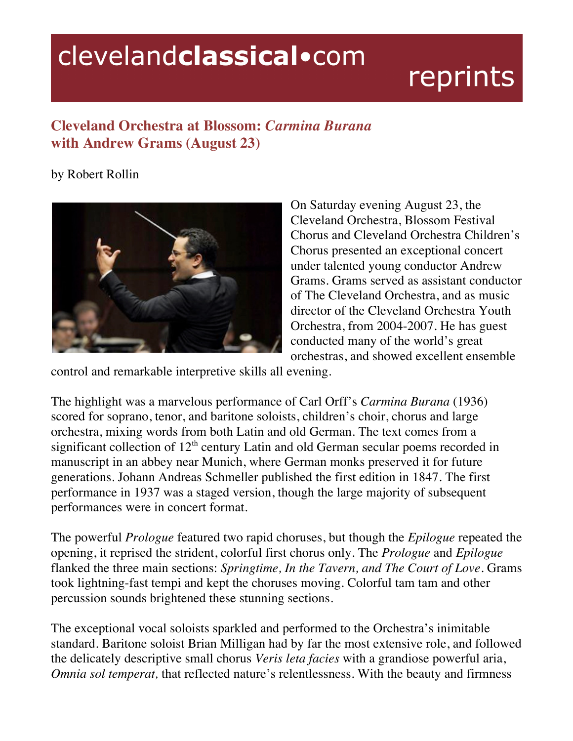## clevelandclassical.com

## reprints

## **Cleveland Orchestra at Blossom:** *Carmina Burana* **with Andrew Grams (August 23)**

by Robert Rollin



On Saturday evening August 23, the Cleveland Orchestra, Blossom Festival Chorus and Cleveland Orchestra Children's Chorus presented an exceptional concert under talented young conductor Andrew Grams. Grams served as assistant conductor of The Cleveland Orchestra, and as music director of the Cleveland Orchestra Youth Orchestra, from 2004-2007. He has guest conducted many of the world's great orchestras, and showed excellent ensemble

control and remarkable interpretive skills all evening.

The highlight was a marvelous performance of Carl Orff's *Carmina Burana* (1936) scored for soprano, tenor, and baritone soloists, children's choir, chorus and large orchestra, mixing words from both Latin and old German. The text comes from a significant collection of  $12<sup>th</sup>$  century Latin and old German secular poems recorded in manuscript in an abbey near Munich, where German monks preserved it for future generations. Johann Andreas Schmeller published the first edition in 1847. The first performance in 1937 was a staged version, though the large majority of subsequent performances were in concert format.

The powerful *Prologue* featured two rapid choruses, but though the *Epilogue* repeated the opening, it reprised the strident, colorful first chorus only. The *Prologue* and *Epilogue* flanked the three main sections: *Springtime, In the Tavern, and The Court of Love*. Grams took lightning-fast tempi and kept the choruses moving. Colorful tam tam and other percussion sounds brightened these stunning sections.

The exceptional vocal soloists sparkled and performed to the Orchestra's inimitable standard. Baritone soloist Brian Milligan had by far the most extensive role, and followed the delicately descriptive small chorus *Veris leta facies* with a grandiose powerful aria, *Omnia sol temperat,* that reflected nature's relentlessness. With the beauty and firmness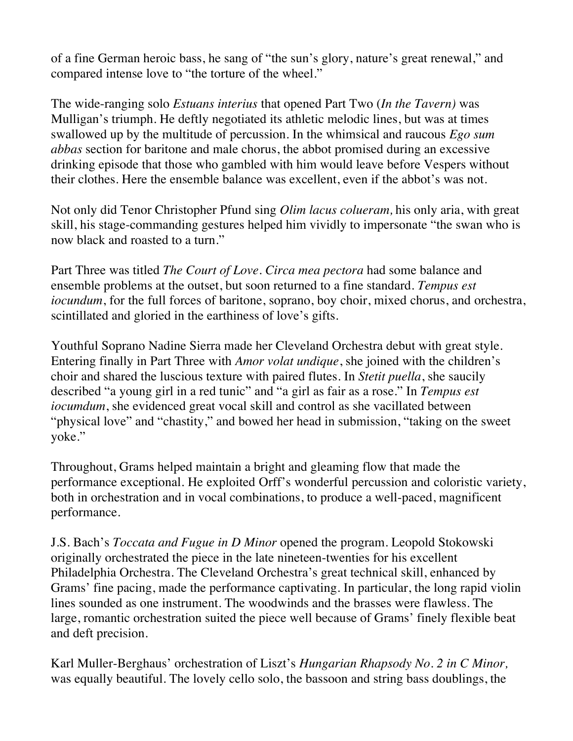of a fine German heroic bass, he sang of "the sun's glory, nature's great renewal," and compared intense love to "the torture of the wheel."

The wide-ranging solo *Estuans interius* that opened Part Two (*In the Tavern)* was Mulligan's triumph. He deftly negotiated its athletic melodic lines, but was at times swallowed up by the multitude of percussion. In the whimsical and raucous *Ego sum abbas* section for baritone and male chorus, the abbot promised during an excessive drinking episode that those who gambled with him would leave before Vespers without their clothes. Here the ensemble balance was excellent, even if the abbot's was not.

Not only did Tenor Christopher Pfund sing *Olim lacus colueram,* his only aria, with great skill, his stage-commanding gestures helped him vividly to impersonate "the swan who is now black and roasted to a turn."

Part Three was titled *The Court of Love. Circa mea pectora* had some balance and ensemble problems at the outset, but soon returned to a fine standard. *Tempus est iocundum*, for the full forces of baritone, soprano, boy choir, mixed chorus, and orchestra, scintillated and gloried in the earthiness of love's gifts.

Youthful Soprano Nadine Sierra made her Cleveland Orchestra debut with great style. Entering finally in Part Three with *Amor volat undique*, she joined with the children's choir and shared the luscious texture with paired flutes. In *Stetit puella*, she saucily described "a young girl in a red tunic" and "a girl as fair as a rose." In *Tempus est iocumdum*, she evidenced great vocal skill and control as she vacillated between "physical love" and "chastity," and bowed her head in submission, "taking on the sweet yoke."

Throughout, Grams helped maintain a bright and gleaming flow that made the performance exceptional. He exploited Orff's wonderful percussion and coloristic variety, both in orchestration and in vocal combinations, to produce a well-paced, magnificent performance.

J.S. Bach's *Toccata and Fugue in D Minor* opened the program. Leopold Stokowski originally orchestrated the piece in the late nineteen-twenties for his excellent Philadelphia Orchestra. The Cleveland Orchestra's great technical skill, enhanced by Grams' fine pacing, made the performance captivating. In particular, the long rapid violin lines sounded as one instrument. The woodwinds and the brasses were flawless. The large, romantic orchestration suited the piece well because of Grams' finely flexible beat and deft precision.

Karl Muller-Berghaus' orchestration of Liszt's *Hungarian Rhapsody No. 2 in C Minor,*  was equally beautiful. The lovely cello solo, the bassoon and string bass doublings, the